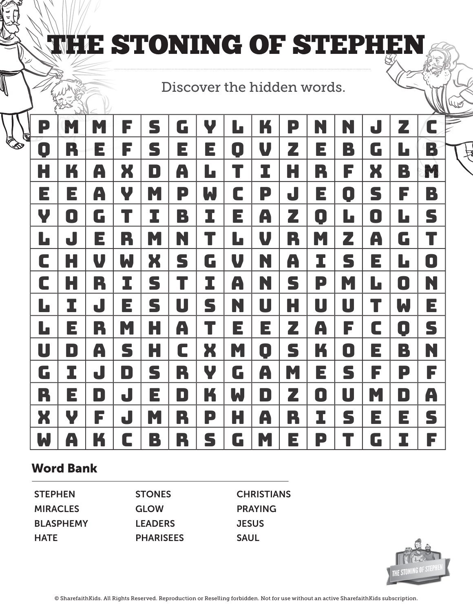# **THE STONING OF STEPHEI**

### Discover the hidden words.

| P<br>$\mathbb Z$ | M | M | F | S  | G | Ψ | Ŀ |                | P | N | N            | J  | Z            | C |
|------------------|---|---|---|----|---|---|---|----------------|---|---|--------------|----|--------------|---|
| O                | R | Е | F | S  | E | E | O | V              | Z | E | B            | G  | $\mathbf{L}$ | B |
| H                | K | A | X | D  | A | L | T | I              | H | R | F            | X  | B            | M |
| E                | E | A | V | M. | P | W | C | P              | J | E | O            | S  | F            | B |
| Y                | O | G |   | I  | B | I | E | A              | Z | 0 | $\mathbf{L}$ | O  | L            | S |
| $\mathbf{L}$     | J | E | R | M  | N | T | Ŀ | V              | R | M | Z            | A  | G            | T |
| C                | Н | U | W | X  | S | G | V | N              | A | I | S            | E  | L            | O |
| C                | Н | R | I | S  | T | I | A | N              | S | P | M            | L. | 0            | N |
| L                | I | J | E | S  | U | S | N | U              | H | U | U            | T  | W            | Е |
| L                | E | R | M | H  | A | T | E | E              | Z | A | F            | C  | 0            | S |
| U                | D | A | S | H  | C | X | M | $\blacksquare$ | S | K | O            | Е  | B            | N |
| G                | I | J | D | S  | R | Ψ | G | A              | M | E | S            | F  | P            | F |
| R                | E | D | J | Е  | D | K | W | D              | Z | O | U            | M  | D            | A |
| X                | V | F | J | M  | R | P | Н | A              | R | I | S            | E  | E            | S |
| W                | A | K | C | B  | R | S | G | M              | E | P |              | G  | I            | F |

#### Word Bank

**STEPHEN MIRACLES** BLASPHEMY **HATE** 

STONES GLOW **LEADERS PHARISEES**  **CHRISTIANS** PRAYING **JESUS** SAUL